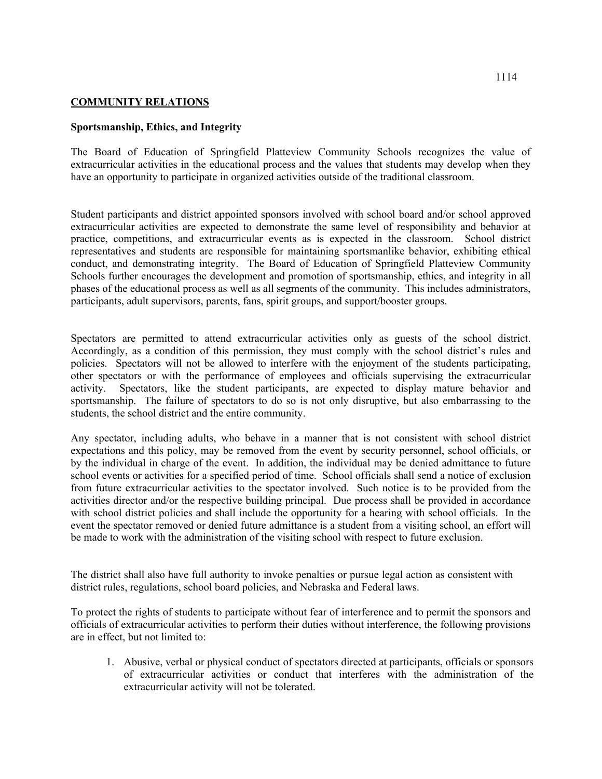## **COMMUNITY RELATIONS**

## **Sportsmanship, Ethics, and Integrity**

The Board of Education of Springfield Platteview Community Schools recognizes the value of extracurricular activities in the educational process and the values that students may develop when they have an opportunity to participate in organized activities outside of the traditional classroom.

Student participants and district appointed sponsors involved with school board and/or school approved extracurricular activities are expected to demonstrate the same level of responsibility and behavior at practice, competitions, and extracurricular events as is expected in the classroom. School district representatives and students are responsible for maintaining sportsmanlike behavior, exhibiting ethical conduct, and demonstrating integrity. The Board of Education of Springfield Platteview Community Schools further encourages the development and promotion of sportsmanship, ethics, and integrity in all phases of the educational process as well as all segments of the community. This includes administrators, participants, adult supervisors, parents, fans, spirit groups, and support/booster groups.

Spectators are permitted to attend extracurricular activities only as guests of the school district. Accordingly, as a condition of this permission, they must comply with the school district's rules and policies. Spectators will not be allowed to interfere with the enjoyment of the students participating, other spectators or with the performance of employees and officials supervising the extracurricular activity. Spectators, like the student participants, are expected to display mature behavior and sportsmanship. The failure of spectators to do so is not only disruptive, but also embarrassing to the students, the school district and the entire community.

Any spectator, including adults, who behave in a manner that is not consistent with school district expectations and this policy, may be removed from the event by security personnel, school officials, or by the individual in charge of the event. In addition, the individual may be denied admittance to future school events or activities for a specified period of time. School officials shall send a notice of exclusion from future extracurricular activities to the spectator involved. Such notice is to be provided from the activities director and/or the respective building principal. Due process shall be provided in accordance with school district policies and shall include the opportunity for a hearing with school officials. In the event the spectator removed or denied future admittance is a student from a visiting school, an effort will be made to work with the administration of the visiting school with respect to future exclusion.

The district shall also have full authority to invoke penalties or pursue legal action as consistent with district rules, regulations, school board policies, and Nebraska and Federal laws.

To protect the rights of students to participate without fear of interference and to permit the sponsors and officials of extracurricular activities to perform their duties without interference, the following provisions are in effect, but not limited to:

1. Abusive, verbal or physical conduct of spectators directed at participants, officials or sponsors of extracurricular activities or conduct that interferes with the administration of the extracurricular activity will not be tolerated.